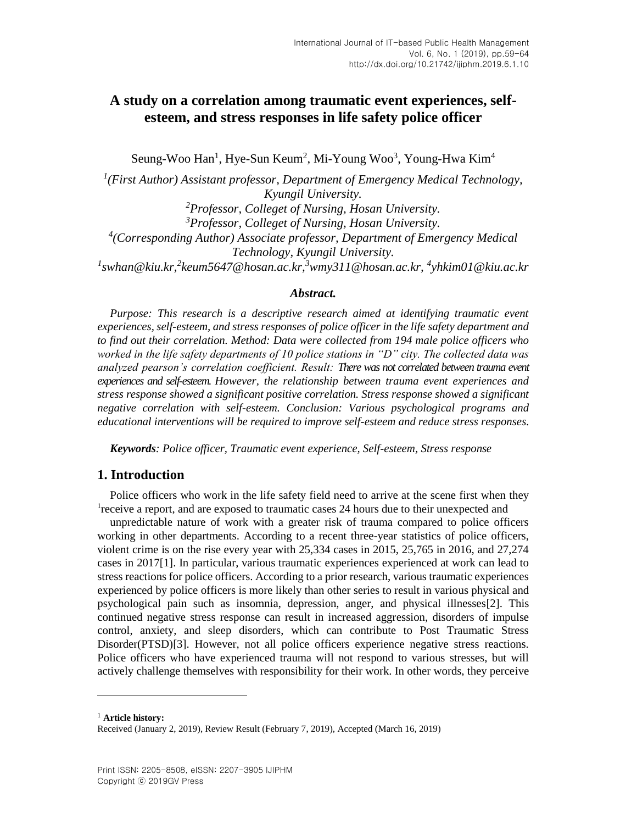Seung-Woo Han<sup>1</sup>, Hye-Sun Keum<sup>2</sup>, Mi-Young Woo<sup>3</sup>, Young-Hwa Kim<sup>4</sup>

 *(First Author) Assistant professor, Department of Emergency Medical Technology, Kyungil University. Professor, Colleget of Nursing, Hosan University. Professor, Colleget of Nursing, Hosan University. (Corresponding Author) [Associate](http://endic.naver.com/search.nhn?query=associate+professor) professor, Department of Emergency Medical Technology, Kyungil University. swhan@kiu.kr,<sup>2</sup> keum5647@hosan.ac.kr,<sup>3</sup>wmy311@hosan.ac.kr, <sup>4</sup> [yhkim01@kiu.ac.kr](mailto:yhkim01@kiu.ac.kr)*

## *Abstract.*

*Purpose: This research is a descriptive research aimed at identifying traumatic event experiences, self-esteem, and stress responses of police officer in the life safety department and to find out their correlation. Method: Data were collected from 194 male police officers who worked in the life safety departments of 10 police stations in "D" city. The collected data was analyzed pearson's correlation coefficient. Result: There was not correlated between trauma event experiences and self-esteem. However, the relationship between trauma event experiences and stress response showed a significant positive correlation. Stress response showed a significant negative correlation with self-esteem. Conclusion: Various psychological programs and educational interventions will be required to improve self-esteem and reduce stress responses.*

*Keywords: Police officer, Traumatic event experience, Self-esteem, Stress response*

## **1. Introduction**

Police officers who work in the life safety field need to arrive at the scene first when they <sup>1</sup> receive a report, and are exposed to traumatic cases 24 hours due to their unexpected and

unpredictable nature of work with a greater risk of trauma compared to police officers working in other departments. According to a recent three-year statistics of police officers, violent crime is on the rise every year with 25,334 cases in 2015, 25,765 in 2016, and 27,274 cases in 201[7\[1\].](#page-3-0) In particular, various traumatic experiences experienced at work can lead to stress reactions for police officers. According to a prior research, various traumatic experiences experienced by police officers is more likely than other series to result in various physical and psychological pain such as insomnia, depression, anger, and physical illnesse[s\[2\].](#page-3-1) This continued negative stress response can result in increased aggression, disorders of impulse control, anxiety, and sleep disorders, which can contribute to Post Traumatic Stress Disorder(PTSD[\)\[3\].](#page-3-2) However, not all police officers experience negative stress reactions. Police officers who have experienced trauma will not respond to various stresses, but will actively challenge themselves with responsibility for their work. In other words, they perceive

<sup>1</sup> **Article history:**

l

Received (January 2, 2019), Review Result (February 7, 2019), Accepted (March 16, 2019)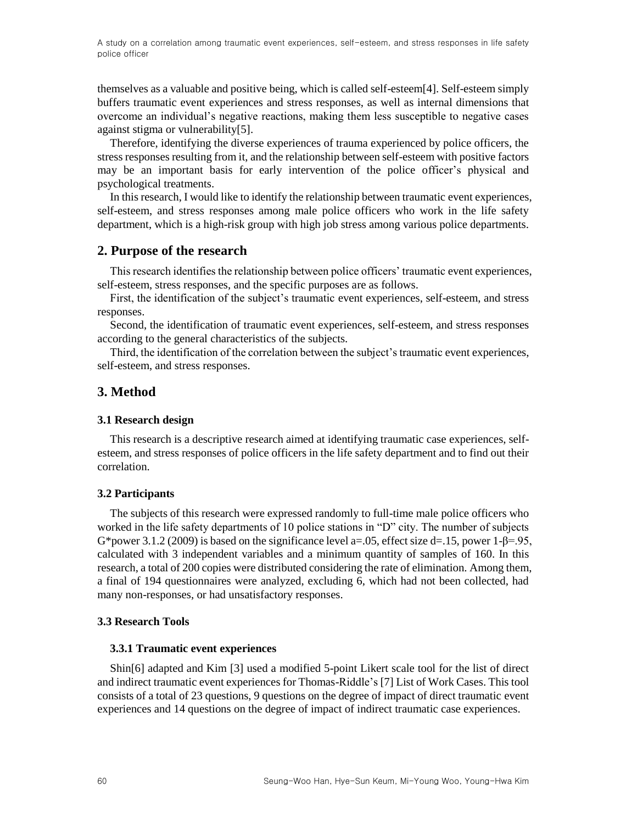themselves as a valuable and positive being, which is called self-estee[m\[4\].](#page-3-3) Self-esteem simply buffers traumatic event experiences and stress responses, as well as internal dimensions that overcome an individual's negative reactions, making them less susceptible to negative cases against stigma or vulnerabilit[y\[5\].](#page-3-4)

Therefore, identifying the diverse experiences of trauma experienced by police officers, the stress responses resulting from it, and the relationship between self-esteem with positive factors may be an important basis for early intervention of the police officer's physical and psychological treatments.

In this research, I would like to identify the relationship between traumatic event experiences, self-esteem, and stress responses among male police officers who work in the life safety department, which is a high-risk group with high job stress among various police departments.

## **2. Purpose of the research**

This research identifies the relationship between police officers' traumatic event experiences, self-esteem, stress responses, and the specific purposes are as follows.

First, the identification of the subject's traumatic event experiences, self-esteem, and stress responses.

Second, the identification of traumatic event experiences, self-esteem, and stress responses according to the general characteristics of the subjects.

Third, the identification of the correlation between the subject's traumatic event experiences, self-esteem, and stress responses.

## **3. Method**

#### **3.1 Research design**

This research is a descriptive research aimed at identifying traumatic case experiences, selfesteem, and stress responses of police officers in the life safety department and to find out their correlation.

#### **3.2 Participants**

The subjects of this research were expressed randomly to full-time male police officers who worked in the life safety departments of 10 police stations in "D" city. The number of subjects G\*power 3.1.2 (2009) is based on the significance level a=.05, effect size d=.15, power 1- $\beta$ =.95, calculated with 3 independent variables and a minimum quantity of samples of 160. In this research, a total of 200 copies were distributed considering the rate of elimination. Among them, a final of 194 questionnaires were analyzed, excluding 6, which had not been collected, had many non-responses, or had unsatisfactory responses.

#### **3.3 Research Tools**

#### **3.3.1 Traumatic event experiences**

Shi[n\[6\]](#page-3-5) adapted and Kim [\[3\]](#page-3-2) used a modified 5-point Likert scale tool for the list of direct and indirect traumatic event experiences for Thomas-Riddle'[s \[7\]](#page-3-6) List of Work Cases. This tool consists of a total of 23 questions, 9 questions on the degree of impact of direct traumatic event experiences and 14 questions on the degree of impact of indirect traumatic case experiences.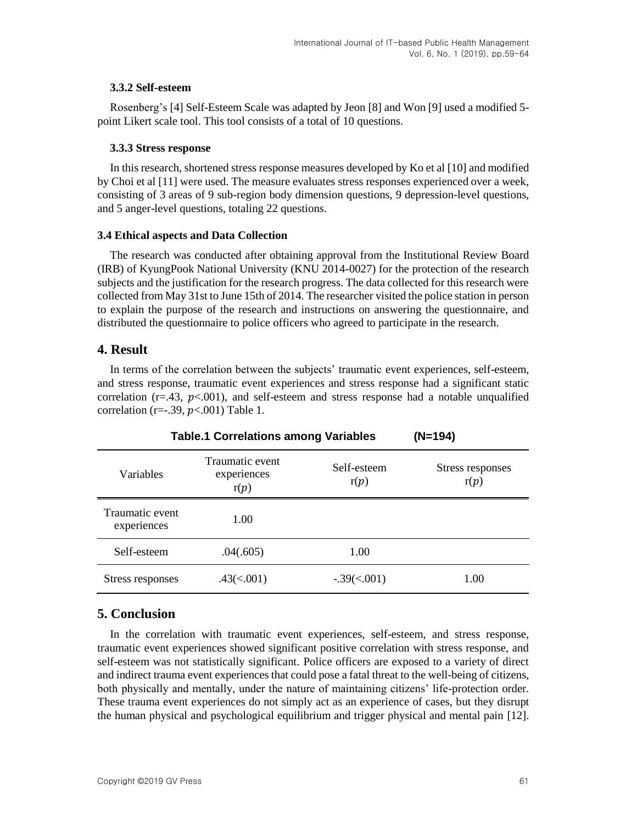## **3.3.2 Self-esteem**

Rosenberg's [\[4\]](#page-3-3) Self-Esteem Scale was adapted by Jeon [\[8\]](#page-3-7) and Wo[n \[9\]](#page-3-8) used a modified 5 point Likert scale tool. This tool consists of a total of 10 questions.

## **3.3.3 Stress response**

In this research, shortened stress response measures developed by Ko et al [\[10\]](#page-3-9) and modified by Choi et al [\[11\]](#page-3-10) were used. The measure evaluates stress responses experienced over a week, consisting of 3 areas of 9 sub-region body dimension questions, 9 depression-level questions, and 5 anger-level questions, totaling 22 questions.

## **3.4 Ethical aspects and Data Collection**

The research was conducted after obtaining approval from the Institutional Review Board (IRB) of KyungPook National University (KNU 2014-0027) for the protection of the research subjects and the justification for the research progress. The data collected for this research were collected from May 31st to June 15th of 2014. The researcher visited the police station in person to explain the purpose of the research and instructions on answering the questionnaire, and distributed the questionnaire to police officers who agreed to participate in the research.

## **4. Result**

In terms of the correlation between the subjects' traumatic event experiences, self-esteem, and stress response, traumatic event experiences and stress response had a significant static correlation ( $r = .43$ ,  $p < .001$ ), and self-esteem and stress response had a notable unqualified correlation (r=-.39,  $p<.001$ ) Table 1.

| Table.1 Correlations among Variables |                                        |                     | $(N=194)$                |
|--------------------------------------|----------------------------------------|---------------------|--------------------------|
| Variables                            | Traumatic event<br>experiences<br>r(p) | Self-esteem<br>r(p) | Stress responses<br>r(n) |
| Traumatic event<br>experiences       | 1.00                                   |                     |                          |
| Self-esteem                          | .04(.605)                              | 1.00                |                          |
| Stress responses                     | .43(<.001)                             | $-.39(<.001)$       | 00                       |

## **5. Conclusion**

In the correlation with traumatic event experiences, self-esteem, and stress response, traumatic event experiences showed significant positive correlation with stress response, and self-esteem was not statistically significant. Police officers are exposed to a variety of direct and indirect trauma event experiences that could pose a fatal threat to the well-being of citizens, both physically and mentally, under the nature of maintaining citizens' life-protection order. These trauma event experiences do not simply act as an experience of cases, but they disrupt the human physical and psychological equilibrium and trigger physical and mental pain [\[12\].](#page-4-0)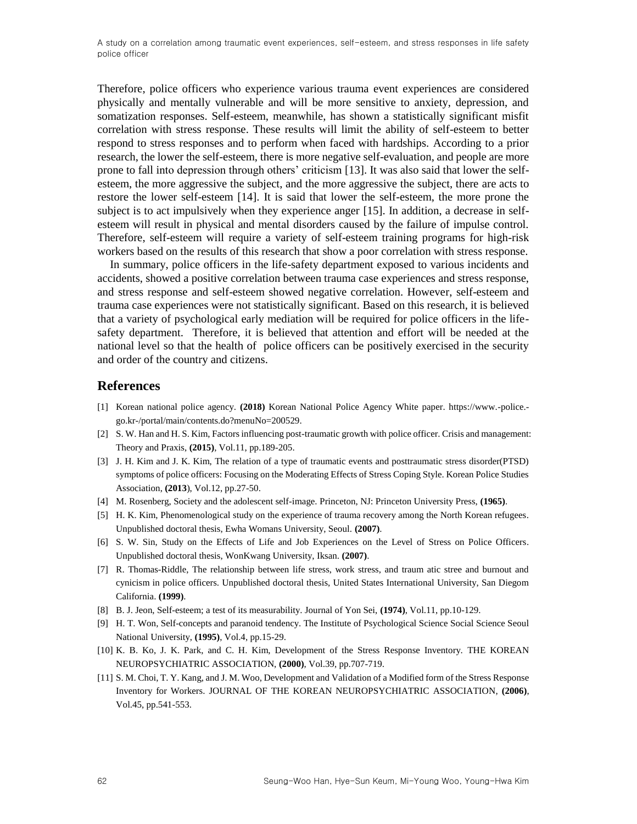Therefore, police officers who experience various trauma event experiences are considered physically and mentally vulnerable and will be more sensitive to anxiety, depression, and somatization responses. Self-esteem, meanwhile, has shown a statistically significant misfit correlation with stress response. These results will limit the ability of self-esteem to better respond to stress responses and to perform when faced with hardships. According to a prior research, the lower the self-esteem, there is more negative self-evaluation, and people are more prone to fall into depression through others' criticism [\[13\].](#page-4-1) It was also said that lower the selfesteem, the more aggressive the subject, and the more aggressive the subject, there are acts to restore the lower self-esteem [\[14\].](#page-4-2) It is said that lower the self-esteem, the more prone the subject is to act impulsively when they experience anger [\[15\].](#page-4-3) In addition, a decrease in selfesteem will result in physical and mental disorders caused by the failure of impulse control. Therefore, self-esteem will require a variety of self-esteem training programs for high-risk workers based on the results of this research that show a poor correlation with stress response.

In summary, police officers in the life-safety department exposed to various incidents and accidents, showed a positive correlation between trauma case experiences and stress response, and stress response and self-esteem showed negative correlation. However, self-esteem and trauma case experiences were not statistically significant. Based on this research, it is believed that a variety of psychological early mediation will be required for police officers in the lifesafety department. Therefore, it is believed that attention and effort will be needed at the national level so that the health of police officers can be positively exercised in the security and order of the country and citizens.

## **References**

- <span id="page-3-0"></span>[1] Korean national police agency. **(2018)** Korean National Police Agency White paper. https://www.-police. go.kr-/portal/main/contents.do?menuNo=200529.
- <span id="page-3-1"></span>[2] S. W. Han and H. S. Kim, Factors influencing post-traumatic growth with police officer. Crisis and management: Theory and Praxis, **(2015)**, Vol.11, pp.189-205.
- <span id="page-3-2"></span>[3] J. H. Kim and J. K. Kim, The relation of a type of traumatic events and posttraumatic stress disorder(PTSD) symptoms of police officers: Focusing on the Moderating Effects of Stress Coping Style. Korean Police Studies Association, **(2013**), Vol.12, pp.27-50.
- <span id="page-3-3"></span>[4] M. Rosenberg, Society and the adolescent self-image. Princeton, NJ: Princeton University Press, **(1965)**.
- <span id="page-3-4"></span>[5] H. K. Kim, [Phenomenological study on the experience of trauma recovery among the North Korean refugees.](http://www.riss.kr/search/detail/DetailView.do?p_mat_type=be54d9b8bc7cdb09&control_no=edd5ddba8985ed43ffe0bdc3ef48d419) Unpublished doctoral thesis, Ewha Womans University, Seoul. **(2007)**.
- <span id="page-3-5"></span>[6] S. W. Sin, [Study on the Effects of Life and Job Experiences on the Level of Stress on Police Officers.](http://www.riss.kr/search/detail/DetailView.do?p_mat_type=be54d9b8bc7cdb09&control_no=c85cd1e16ce0ac78ffe0bdc3ef48d419) Unpublished doctoral thesis, WonKwang University[, Iksan.](http://endic.naver.com/search.nhn?query=iksan) **(2007)**.
- <span id="page-3-6"></span>[7] R. Thomas-Riddle, The relationship between life stress, work stress, and traum atic stree and burnout and cynicism in police officers. Unpublished doctoral thesis, United States International University, San Diegom California. **(1999)**.
- <span id="page-3-7"></span>[8] B. J. Jeon, Self-esteem; a test of its measurability. Journal of Yon Sei, **(1974)**, Vol.11, pp.10-129.
- <span id="page-3-8"></span>[9] H. T. Won, Self-concepts and paranoid tendency. The Institute of Psychological Science Social Science Seoul National University, **(1995)**, Vol.4, pp.15-29.
- <span id="page-3-9"></span>[10] K. B. Ko, J. K. Park, and C. H. Kim, Development of the Stress Response Inventory. [THE KOREAN](http://www.riss.kr/search/Search.do?queryText=znPublisher,%EB%8C%80%ED%95%9C%EC%8B%A0%EA%B2%BD%EC%A0%95%EC%8B%A0%EC%9D%98%ED%95%99%ED%9A%8C&searchGubun=true&colName=re_s&detailSearch=true)  [NEUROPSYCHIATRIC ASSOCIATION,](http://www.riss.kr/search/Search.do?queryText=znPublisher,%EB%8C%80%ED%95%9C%EC%8B%A0%EA%B2%BD%EC%A0%95%EC%8B%A0%EC%9D%98%ED%95%99%ED%9A%8C&searchGubun=true&colName=re_s&detailSearch=true) **(2000)**, Vol.39, pp.707-719.
- <span id="page-3-10"></span>[11] S. M. Choi, T. Y. Kang, and J. M. Woo, Development and Validation of a Modified form of the Stress Response Inventory for Workers. [JOURNAL OF THE KOREAN NEUROPSYCHIATRIC ASSOCIATION,](http://www.riss.kr/link?id=S102361) **(2006)**, Vol.45, pp.541-553.